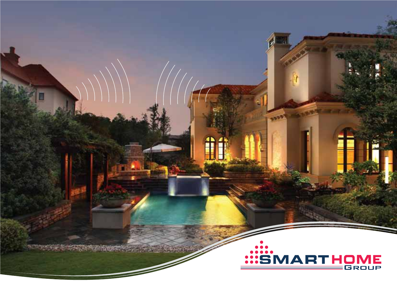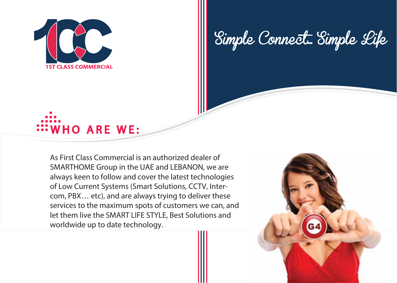

Simple Connect... Simple Life



As First Class Commercial is an authorized dealer of SMARTHOME Group in the UAE and LEBANON, we are always keen to follow and cover the latest technologies of Low Current Systems (Smart Solutions, CCTV, Intercom, PBX… etc), and are always trying to deliver these services to the maximum spots of customers we can, and let them live the SMART LIFE STYLE, Best Solutions and worldwide up to date technology.

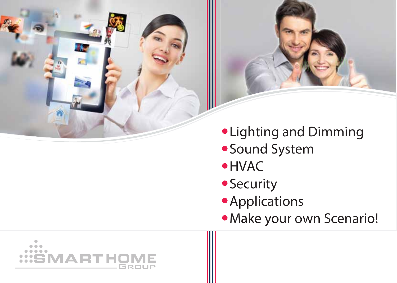



- Lighting and Dimming
- Sound System
- HVAC
- **Security**
- **Applications**
- Make your own Scenario!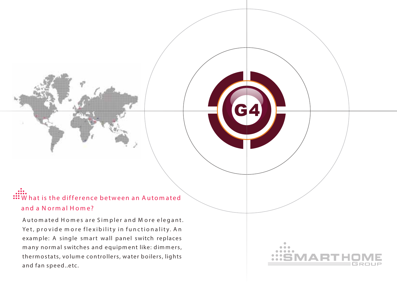#### $\mathbf{W}$  hat is the difference between an Automated **and a N o rm a l H om e?**

G4

Automated Homes are Simpler and More elegant. Yet, provide more flexibility in functionality. An exam ple: A single sm art wall panel switch replaces many normal switches and equipment like: dimmers, therm ostats, volum e controllers, water boilers, lights and fan speed..etc.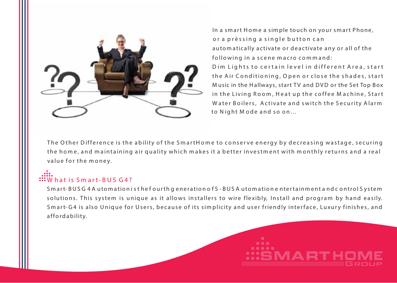

In a smart Home a simple touch on your smart Phone, or a prèssing a single button can autom atically activate or deactivate any or all of the following in a scene macro command: D im Lights to certain level in different Area, start the Air Conditioning, Open or close the shades, start M usic in the Hallways, start TV and DVD or the Set Top Box in the Living Room, Heat up the coffee Machine, Start Water Boilers, Activate and switch the Security Alarm to Night Mode and so on...

The O ther Difference is the ability of the SmartHome to conserve energy by decreasing wastage, securing the home, and maintaining air quality which makes it a better investment with monthly returns and a real value for the money.

# **W h a t is S m a r t- B U S G 4 ?**

S mart-BUS G 4 A uto mation is the fourth generation of S-BUS A uto matione ntertainment and control System solutions. This system is unique as it allows installers to wire flexibly, Install and program by hand easily. Smart-G4 is also Unique for Users, because of its simplicity and user friendly interface, Luxury finishes, and a ffo rdability.

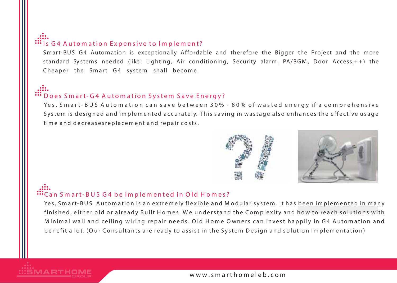#### "Is G4 Automation Expensive to Implement?

Smart- BUS G4 Automation is exceptionally Affordable and therefore the Bigger the Project and the more standard Systems needed (like: Lighting, Air conditioning, Security alarm, PA/BGM, Door Access, ++) the Cheaper the Smart G4 system shall become.

#### Does Smart-G4 Automation System Save Energy?

Yes, Smart-BUS Automation can save between 30% - 80% of wasted energy if a comprehensive System is designed and implemented accurately. This saving in wastage also enhances the effective usage time and decreases replacement and repair costs.



#### "Can Smart-BUS G4 be implemented in Old Homes?

Yes, Smart-BUS Automation is an extremely flexible and Modular system. It has been implemented in many finished, either old or already Built Homes. We understand the Complexity and how to reach solutions with Minimal wall and ceiling wiring repair needs. Old Home Owners can invest happily in G4 Automation and benefit a lot. (Our Consultants are ready to assist in the System Design and solution Implementation)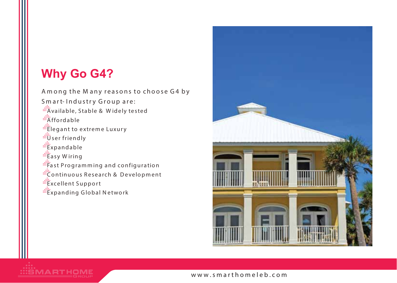# **Why Go G4?**

MARTHOME

Among the Many reasons to choose G4 by Smart-Industry Group are: "Available, Stable & Widely tested **Explored** "Elegant to extreme Luxury divider friendly "Expandable "Easy Wiring" Fast Programming and configuration "Continuous Research & Development "Excellent Support "Expanding Global Network"

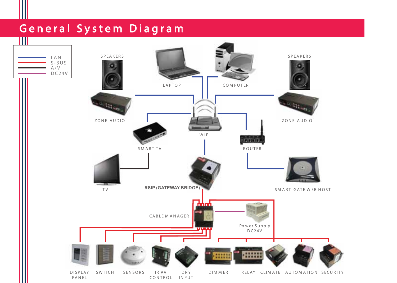# **G e n e r a l S y s t e m D i a g r a m**

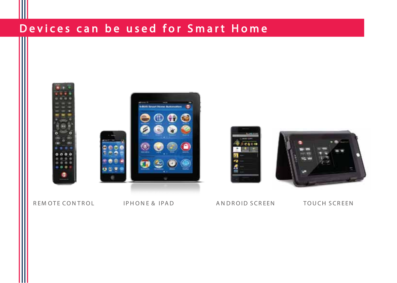# Devices can be used for Smart Home



#### REMOTE CONTROL IPHONE & IPAD

#### ANDROID SCREEN

**Cann** 

**TOUCH SCREEN**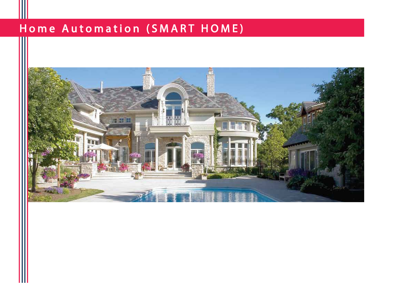# Home Automation (SMART HOME)

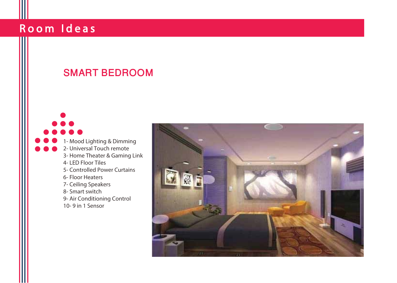#### SMART BEDROOM

1- Mood Lighting & Dimming 2- Universal Touch remote 3- Home Theater & Gaming Link 4- LED Floor Tiles 5- Controlled Power Curtains 6- Floor Heaters 7- Ceiling Speakers 8- Smart switch 9- Air Conditioning Control 10- 9 in 1 Sensor

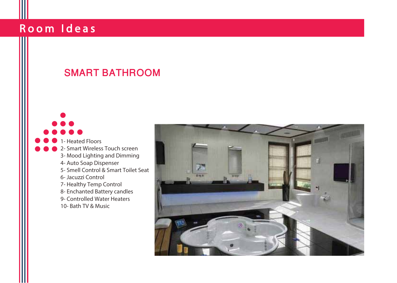#### SMART BATHROOM

1- Heated Floors 2- Smart Wireless Touch screen 3- Mood Lighting and Dimming 4- Auto Soap Dispenser 5- Smell Control & Smart Toilet Seat 6- Jacuzzi Control 7- Healthy Temp Control 8- Enchanted Battery candles 9- Controlled Water Heaters 10- Bath TV & Music

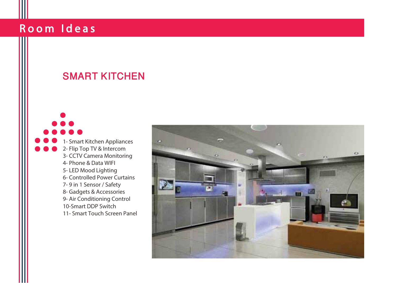#### SMART KITCHEN

1- Smart Kitchen Appliances 2- Flip Top TV & Intercom 3- CCTV Camera Monitoring 4- Phone & Data WIFI 5- LED Mood Lighting 6- Controlled Power Curtains 7- 9 in 1 Sensor / Safety 8- Gadgets & Accessories 9- Air Conditioning Control 10-Smart DDP Switch 11- Smart Touch Screen Panel

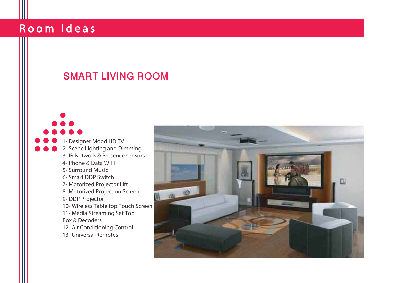### SMART LIVING ROOM

1- Designer Mood HD TV 2- Scene Lighting and Dimming 3- IR Network & Presence sensors 4- Phone & Data WIFI 5- Surround Music 6- Smart DDP Switch 7- Motorized Projector Lift 8- Motorized Projection Screen 9- DDP Projector 10- Wireless Table top Touch Screen 11- Media Streaming Set Top Box & Decoders 12- Air Conditioning Control 13- Universal Remotes

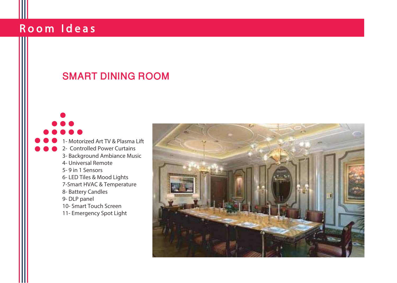### SMART DINING ROOM

1- Motorized Art TV & Plasma Lift 2- Controlled Power Curtains 3- Background Ambiance Music 4- Universal Remote 5- 9 in 1 Sensors 6- LED Tiles & Mood Lights 7-Smart HVAC & Temperature 8- Battery Candles 9- DLP panel 10- Smart Touch Screen 11- Emergency Spot Light

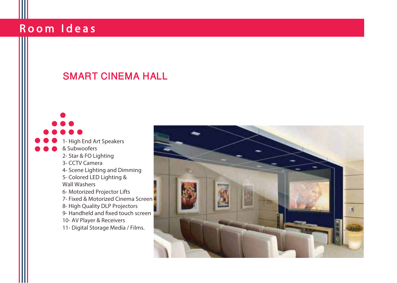## 1- High End Art Speakers & Subwoofers 2- Star & FO Lighting 3- CCTV Camera 4- Scene Lighting and Dimming 5- Colored LED Lighting & Wall Washers 6- Motorized Projector Lifts 7- Fixed & Motorized Cinema Screen 8- High Quality DLP Projectors 9- Handheld and fixed touch screen 10- AV Player & Receivers 11- Digital Storage Media / Films. SMART CINEMA HALL

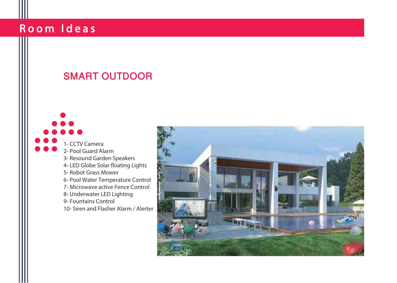# SMART OUTDOOR 1- CCTV Camera 2- Pool Guard Alarm 3- Resound Garden Speakers 4- LED Globe Solar floating Lights 5- Robot Grass Mower 6- Pool Water Temperature Control 7- Microwave active Fence Control 8- Underwater LED Lighting 9- Fountains Control 10- Siren and Flasher Alarm / Alerter

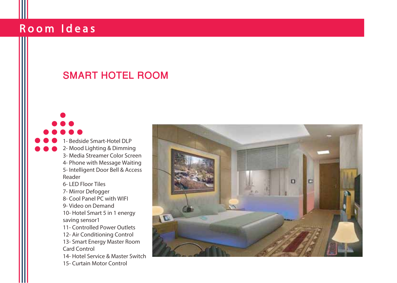## SMART HOTEL ROOM

1- Bedside Smart-Hotel DLP 2- Mood Lighting & Dimming 3- Media Streamer Color Screen 4- Phone with Message Waiting 5- Intelligent Door Bell & Access Reader 6- LED Floor Tiles 7- Mirror Defogger 8- Cool Panel PC with WIFI 9- Video on Demand 10- Hotel Smart 5 in 1 energy saving sensor1 11- Controlled Power Outlets 12- Air Conditioning Control 13- Smart Energy Master Room Card Control 14- Hotel Service & Master Switch 15- Curtain Motor Control

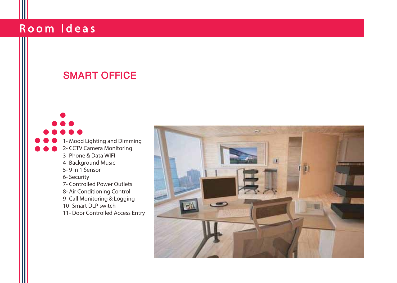#### SMART OFFICE

1- Mood Lighting and Dimming 2- CCTV Camera Monitoring 3- Phone & Data WIFI 4- Background Music

- 
- 5- 9 in 1 Sensor
- 6- Security
- 7- Controlled Power Outlets
- 8- Air Conditioning Control
- 9- Call Monitoring & Logging
- 10- Smart DLP switch
- 11- Door Controlled Access Entry

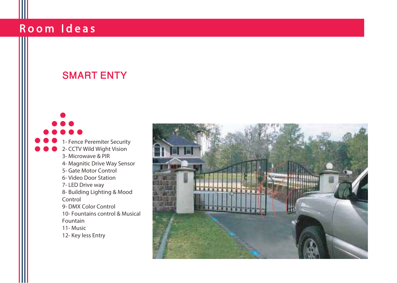#### SMART ENTY

1- Fence Peremiter Security 2- CCTV Wild Wight Vision 3- Microwave & PIR 4- Magnitic Drive Way Sensor 5- Gate Motor Control 6- Video Door Station 7- LED Drive way 8- Building Lighting & Mood Control 9- DMX Color Control 10- Fountains control & Musical Fountain 11- Music 12- Key less Entry

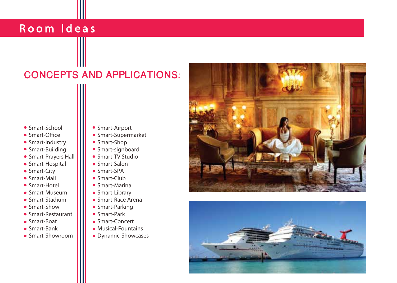### CONCEPTS AND APPLICATIONS:

- **Smart-School**
- $\bullet$  Smart-Office
- Smart-Industry
- Smart-Building
- Smart-Prayers Hall
- Smart-Hospital
- Smart-City
- Smart-Mall
- Smart-Hotel
- Smart-Museum
- Smart-Stadium
- Smart-Show
- Smart-Restaurant
- Smart-Boat
- Smart-Bank
- Smart-Showroom
- Smart-Airport
- Smart-Supermarket
- Smart-Shop
- Smart-signboard
- Smart-TV Studio
- Smart-Salon
- Smart-SPA
- Smart-Club
- Smart-Marina
- Smart-Library
- Smart-Race Arena
- Smart-Parking
- Smart-Park
- Smart-Concert
- Musical-Fountains
- Dynamic-Showcases



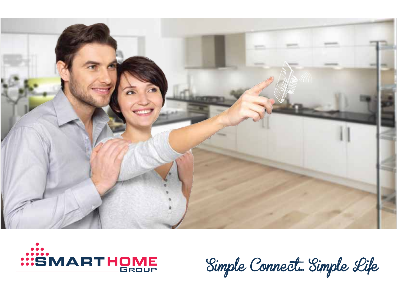



Simple Connect... Simple Life